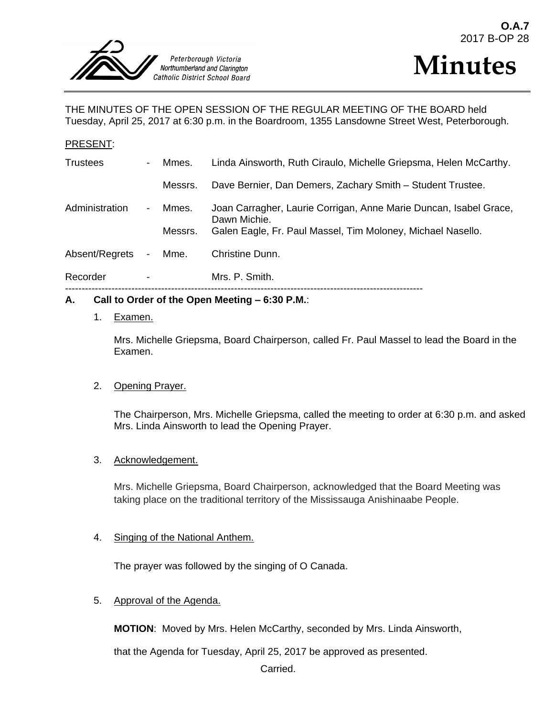



THE MINUTES OF THE OPEN SESSION OF THE REGULAR MEETING OF THE BOARD held Tuesday, April 25, 2017 at 6:30 p.m. in the Boardroom, 1355 Lansdowne Street West, Peterborough.

#### PRESENT:

| Recorder        |                |         | Mrs. P. Smith.                                                                    |
|-----------------|----------------|---------|-----------------------------------------------------------------------------------|
| Absent/Regrets  | $\blacksquare$ | Mme.    | Christine Dunn.                                                                   |
|                 |                | Messrs. | Galen Eagle, Fr. Paul Massel, Tim Moloney, Michael Nasello.                       |
| Administration  | $\blacksquare$ | Mmes.   | Joan Carragher, Laurie Corrigan, Anne Marie Duncan, Isabel Grace,<br>Dawn Michie. |
|                 |                | Messrs. | Dave Bernier, Dan Demers, Zachary Smith - Student Trustee.                        |
| <b>Trustees</b> | $\blacksquare$ | Mmes.   | Linda Ainsworth, Ruth Ciraulo, Michelle Griepsma, Helen McCarthy.                 |

#### **A. Call to Order of the Open Meeting – 6:30 P.M.**:

#### 1. Examen.

Mrs. Michelle Griepsma, Board Chairperson, called Fr. Paul Massel to lead the Board in the Examen.

#### 2. Opening Prayer.

The Chairperson, Mrs. Michelle Griepsma, called the meeting to order at 6:30 p.m. and asked Mrs. Linda Ainsworth to lead the Opening Prayer.

#### 3. Acknowledgement.

Mrs. Michelle Griepsma, Board Chairperson, acknowledged that the Board Meeting was taking place on the traditional territory of the Mississauga Anishinaabe People.

#### 4. Singing of the National Anthem.

The prayer was followed by the singing of O Canada.

#### 5. Approval of the Agenda.

**MOTION**: Moved by Mrs. Helen McCarthy, seconded by Mrs. Linda Ainsworth,

that the Agenda for Tuesday, April 25, 2017 be approved as presented.

Carried.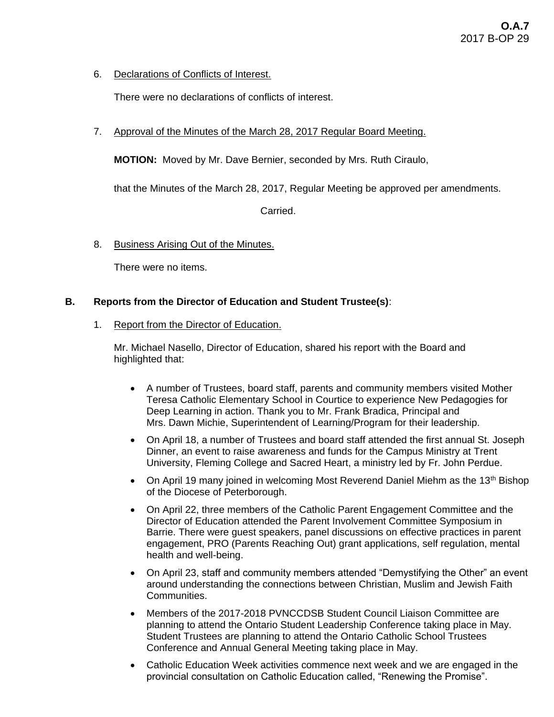6. Declarations of Conflicts of Interest.

There were no declarations of conflicts of interest.

7. Approval of the Minutes of the March 28, 2017 Regular Board Meeting.

**MOTION:** Moved by Mr. Dave Bernier, seconded by Mrs. Ruth Ciraulo,

that the Minutes of the March 28, 2017, Regular Meeting be approved per amendments.

Carried.

8. Business Arising Out of the Minutes.

There were no items.

# **B. Reports from the Director of Education and Student Trustee(s)**:

1. Report from the Director of Education.

Mr. Michael Nasello, Director of Education, shared his report with the Board and highlighted that:

- A number of Trustees, board staff, parents and community members visited Mother Teresa Catholic Elementary School in Courtice to experience New Pedagogies for Deep Learning in action. Thank you to Mr. Frank Bradica, Principal and Mrs. Dawn Michie, Superintendent of Learning/Program for their leadership.
- On April 18, a number of Trustees and board staff attended the first annual St. Joseph Dinner, an event to raise awareness and funds for the Campus Ministry at Trent University, Fleming College and Sacred Heart, a ministry led by Fr. John Perdue.
- On April 19 many joined in welcoming Most Reverend Daniel Miehm as the 13<sup>th</sup> Bishop of the Diocese of Peterborough.
- On April 22, three members of the Catholic Parent Engagement Committee and the Director of Education attended the Parent Involvement Committee Symposium in Barrie. There were guest speakers, panel discussions on effective practices in parent engagement, PRO (Parents Reaching Out) grant applications, self regulation, mental health and well-being.
- On April 23, staff and community members attended "Demystifying the Other" an event around understanding the connections between Christian, Muslim and Jewish Faith Communities.
- Members of the 2017-2018 PVNCCDSB Student Council Liaison Committee are planning to attend the Ontario Student Leadership Conference taking place in May. Student Trustees are planning to attend the Ontario Catholic School Trustees Conference and Annual General Meeting taking place in May.
- Catholic Education Week activities commence next week and we are engaged in the provincial consultation on Catholic Education called, "Renewing the Promise".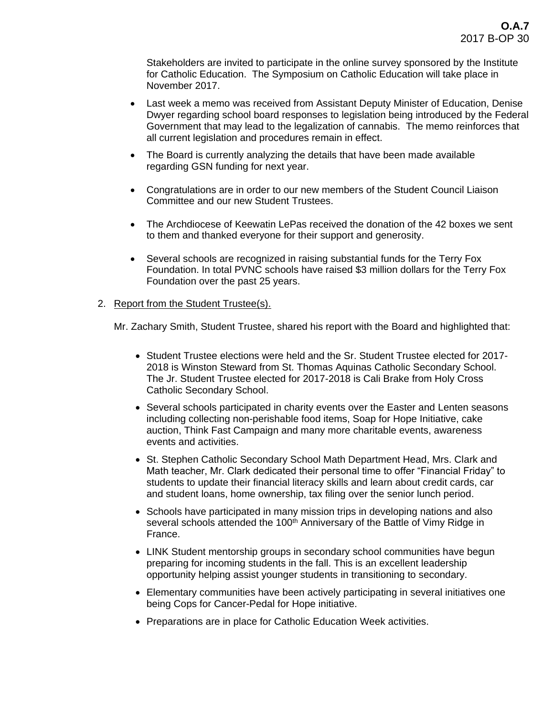Stakeholders are invited to participate in the online survey sponsored by the Institute for Catholic Education. The Symposium on Catholic Education will take place in November 2017.

- Last week a memo was received from Assistant Deputy Minister of Education, Denise Dwyer regarding school board responses to legislation being introduced by the Federal Government that may lead to the legalization of cannabis. The memo reinforces that all current legislation and procedures remain in effect.
- The Board is currently analyzing the details that have been made available regarding GSN funding for next year.
- Congratulations are in order to our new members of the Student Council Liaison Committee and our new Student Trustees.
- The Archdiocese of Keewatin LePas received the donation of the 42 boxes we sent to them and thanked everyone for their support and generosity.
- Several schools are recognized in raising substantial funds for the Terry Fox Foundation. In total PVNC schools have raised \$3 million dollars for the Terry Fox Foundation over the past 25 years.

# 2. Report from the Student Trustee(s).

Mr. Zachary Smith, Student Trustee, shared his report with the Board and highlighted that:

- Student Trustee elections were held and the Sr. Student Trustee elected for 2017-2018 is Winston Steward from St. Thomas Aquinas Catholic Secondary School. The Jr. Student Trustee elected for 2017-2018 is Cali Brake from Holy Cross Catholic Secondary School.
- Several schools participated in charity events over the Easter and Lenten seasons including collecting non-perishable food items, Soap for Hope Initiative, cake auction, Think Fast Campaign and many more charitable events, awareness events and activities.
- St. Stephen Catholic Secondary School Math Department Head, Mrs. Clark and Math teacher, Mr. Clark dedicated their personal time to offer "Financial Friday" to students to update their financial literacy skills and learn about credit cards, car and student loans, home ownership, tax filing over the senior lunch period.
- Schools have participated in many mission trips in developing nations and also several schools attended the 100<sup>th</sup> Anniversary of the Battle of Vimy Ridge in France.
- LINK Student mentorship groups in secondary school communities have begun preparing for incoming students in the fall. This is an excellent leadership opportunity helping assist younger students in transitioning to secondary.
- Elementary communities have been actively participating in several initiatives one being Cops for Cancer-Pedal for Hope initiative.
- Preparations are in place for Catholic Education Week activities.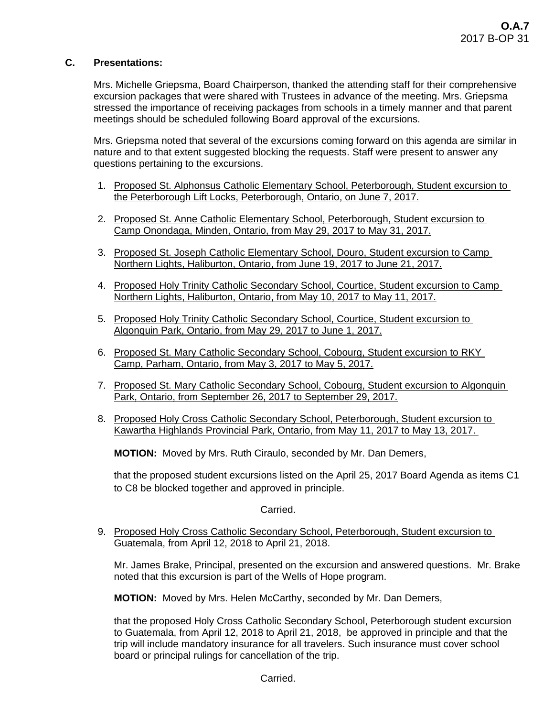# **C. Presentations:**

Mrs. Michelle Griepsma, Board Chairperson, thanked the attending staff for their comprehensive excursion packages that were shared with Trustees in advance of the meeting. Mrs. Griepsma stressed the importance of receiving packages from schools in a timely manner and that parent meetings should be scheduled following Board approval of the excursions.

Mrs. Griepsma noted that several of the excursions coming forward on this agenda are similar in nature and to that extent suggested blocking the requests. Staff were present to answer any questions pertaining to the excursions.

- 1. Proposed St. Alphonsus Catholic Elementary School, Peterborough, Student excursion to the Peterborough Lift Locks, Peterborough, Ontario, on June 7, 2017.
- 2. Proposed St. Anne Catholic Elementary School, Peterborough, Student excursion to Camp Onondaga, Minden, Ontario, from May 29, 2017 to May 31, 2017.
- 3. Proposed St. Joseph Catholic Elementary School, Douro, Student excursion to Camp Northern Lights, Haliburton, Ontario, from June 19, 2017 to June 21, 2017.
- 4. Proposed Holy Trinity Catholic Secondary School, Courtice, Student excursion to Camp Northern Lights, Haliburton, Ontario, from May 10, 2017 to May 11, 2017.
- 5. Proposed Holy Trinity Catholic Secondary School, Courtice, Student excursion to Algonquin Park, Ontario, from May 29, 2017 to June 1, 2017.
- 6. Proposed St. Mary Catholic Secondary School, Cobourg, Student excursion to RKY Camp, Parham, Ontario, from May 3, 2017 to May 5, 2017.
- 7. Proposed St. Mary Catholic Secondary School, Cobourg, Student excursion to Algonquin Park, Ontario, from September 26, 2017 to September 29, 2017.
- 8. Proposed Holy Cross Catholic Secondary School, Peterborough, Student excursion to Kawartha Highlands Provincial Park, Ontario, from May 11, 2017 to May 13, 2017.

**MOTION:** Moved by Mrs. Ruth Ciraulo, seconded by Mr. Dan Demers,

that the proposed student excursions listed on the April 25, 2017 Board Agenda as items C1 to C8 be blocked together and approved in principle.

# Carried.

9. Proposed Holy Cross Catholic Secondary School, Peterborough, Student excursion to Guatemala, from April 12, 2018 to April 21, 2018.

Mr. James Brake, Principal, presented on the excursion and answered questions. Mr. Brake noted that this excursion is part of the Wells of Hope program.

**MOTION:** Moved by Mrs. Helen McCarthy, seconded by Mr. Dan Demers,

that the proposed Holy Cross Catholic Secondary School, Peterborough student excursion to Guatemala, from April 12, 2018 to April 21, 2018, be approved in principle and that the trip will include mandatory insurance for all travelers. Such insurance must cover school board or principal rulings for cancellation of the trip.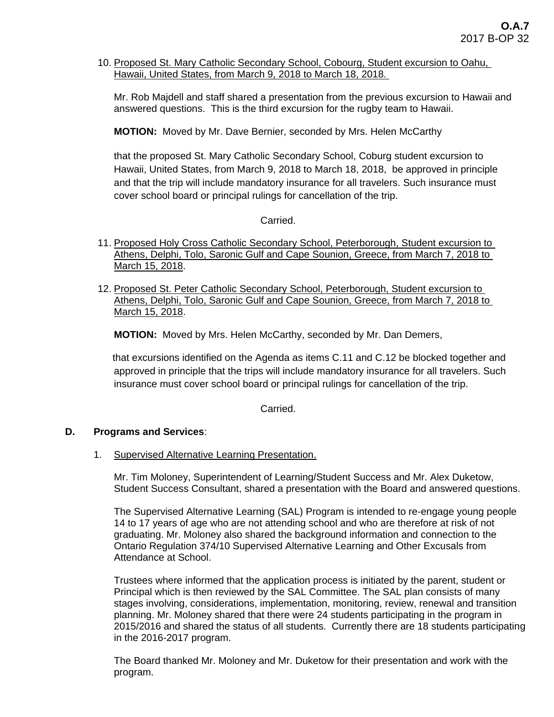10. Proposed St. Mary Catholic Secondary School, Cobourg, Student excursion to Oahu, Hawaii, United States, from March 9, 2018 to March 18, 2018.

Mr. Rob Majdell and staff shared a presentation from the previous excursion to Hawaii and answered questions. This is the third excursion for the rugby team to Hawaii.

**MOTION:** Moved by Mr. Dave Bernier, seconded by Mrs. Helen McCarthy

that the proposed St. Mary Catholic Secondary School, Coburg student excursion to Hawaii, United States, from March 9, 2018 to March 18, 2018, be approved in principle and that the trip will include mandatory insurance for all travelers. Such insurance must cover school board or principal rulings for cancellation of the trip.

# Carried.

- 11. Proposed Holy Cross Catholic Secondary School, Peterborough, Student excursion to Athens, Delphi, Tolo, Saronic Gulf and Cape Sounion, Greece, from March 7, 2018 to March 15, 2018.
- 12. Proposed St. Peter Catholic Secondary School, Peterborough, Student excursion to Athens, Delphi, Tolo, Saronic Gulf and Cape Sounion, Greece, from March 7, 2018 to March 15, 2018.

**MOTION:** Moved by Mrs. Helen McCarthy, seconded by Mr. Dan Demers,

that excursions identified on the Agenda as items C.11 and C.12 be blocked together and approved in principle that the trips will include mandatory insurance for all travelers. Such insurance must cover school board or principal rulings for cancellation of the trip.

Carried.

#### **D. Programs and Services**:

1. Supervised Alternative Learning Presentation.

Mr. Tim Moloney, Superintendent of Learning/Student Success and Mr. Alex Duketow, Student Success Consultant, shared a presentation with the Board and answered questions.

The Supervised Alternative Learning (SAL) Program is intended to re-engage young people 14 to 17 years of age who are not attending school and who are therefore at risk of not graduating. Mr. Moloney also shared the background information and connection to the Ontario Regulation 374/10 Supervised Alternative Learning and Other Excusals from Attendance at School.

Trustees where informed that the application process is initiated by the parent, student or Principal which is then reviewed by the SAL Committee. The SAL plan consists of many stages involving, considerations, implementation, monitoring, review, renewal and transition planning. Mr. Moloney shared that there were 24 students participating in the program in 2015/2016 and shared the status of all students. Currently there are 18 students participating in the 2016-2017 program.

The Board thanked Mr. Moloney and Mr. Duketow for their presentation and work with the program.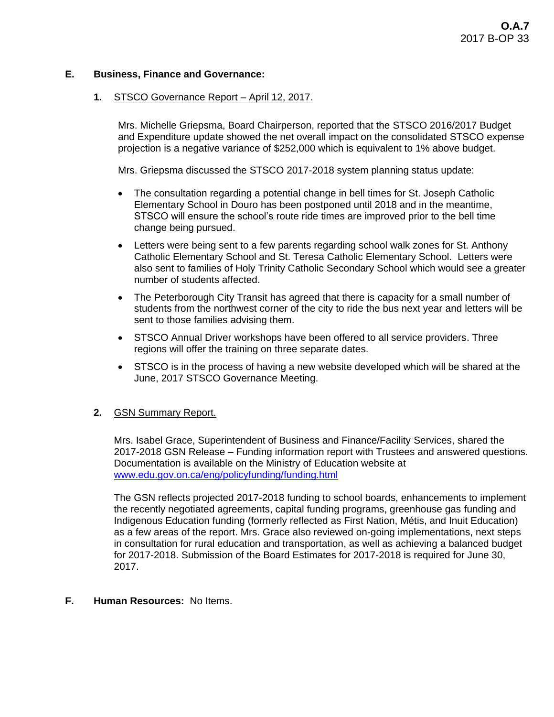## **E. Business, Finance and Governance:**

#### **1.** STSCO Governance Report – April 12, 2017.

Mrs. Michelle Griepsma, Board Chairperson, reported that the STSCO 2016/2017 Budget and Expenditure update showed the net overall impact on the consolidated STSCO expense projection is a negative variance of \$252,000 which is equivalent to 1% above budget.

Mrs. Griepsma discussed the STSCO 2017-2018 system planning status update:

- The consultation regarding a potential change in bell times for St. Joseph Catholic Elementary School in Douro has been postponed until 2018 and in the meantime, STSCO will ensure the school's route ride times are improved prior to the bell time change being pursued.
- Letters were being sent to a few parents regarding school walk zones for St. Anthony Catholic Elementary School and St. Teresa Catholic Elementary School. Letters were also sent to families of Holy Trinity Catholic Secondary School which would see a greater number of students affected.
- The Peterborough City Transit has agreed that there is capacity for a small number of students from the northwest corner of the city to ride the bus next year and letters will be sent to those families advising them.
- STSCO Annual Driver workshops have been offered to all service providers. Three regions will offer the training on three separate dates.
- STSCO is in the process of having a new website developed which will be shared at the June, 2017 STSCO Governance Meeting.

#### **2.** GSN Summary Report.

Mrs. Isabel Grace, Superintendent of Business and Finance/Facility Services, shared the 2017-2018 GSN Release – Funding information report with Trustees and answered questions. Documentation is available on the Ministry of Education website at [www.edu.gov.on.ca/eng/policyfunding/funding.html](http://www.edu.gov.on.ca/eng/policyfunding/funding.html)

The GSN reflects projected 2017-2018 funding to school boards, enhancements to implement the recently negotiated agreements, capital funding programs, greenhouse gas funding and Indigenous Education funding (formerly reflected as First Nation, Métis, and Inuit Education) as a few areas of the report. Mrs. Grace also reviewed on-going implementations, next steps in consultation for rural education and transportation, as well as achieving a balanced budget for 2017-2018. Submission of the Board Estimates for 2017-2018 is required for June 30, 2017.

#### **F. Human Resources:** No Items.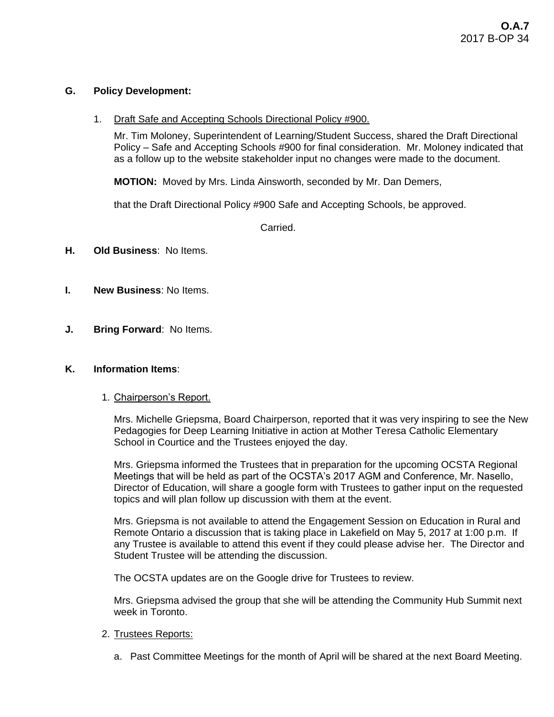## **G. Policy Development:**

1. Draft Safe and Accepting Schools Directional Policy #900.

Mr. Tim Moloney, Superintendent of Learning/Student Success, shared the Draft Directional Policy – Safe and Accepting Schools #900 for final consideration. Mr. Moloney indicated that as a follow up to the website stakeholder input no changes were made to the document.

**MOTION:** Moved by Mrs. Linda Ainsworth, seconded by Mr. Dan Demers,

that the Draft Directional Policy #900 Safe and Accepting Schools, be approved.

Carried.

- **H. Old Business**: No Items.
- **I. New Business**: No Items.
- **J. Bring Forward**: No Items.

#### **K. Information Items**:

1. Chairperson's Report.

Mrs. Michelle Griepsma, Board Chairperson, reported that it was very inspiring to see the New Pedagogies for Deep Learning Initiative in action at Mother Teresa Catholic Elementary School in Courtice and the Trustees enjoyed the day.

Mrs. Griepsma informed the Trustees that in preparation for the upcoming OCSTA Regional Meetings that will be held as part of the OCSTA's 2017 AGM and Conference, Mr. Nasello, Director of Education, will share a google form with Trustees to gather input on the requested topics and will plan follow up discussion with them at the event.

Mrs. Griepsma is not available to attend the Engagement Session on Education in Rural and Remote Ontario a discussion that is taking place in Lakefield on May 5, 2017 at 1:00 p.m. If any Trustee is available to attend this event if they could please advise her. The Director and Student Trustee will be attending the discussion.

The OCSTA updates are on the Google drive for Trustees to review.

Mrs. Griepsma advised the group that she will be attending the Community Hub Summit next week in Toronto.

#### 2. Trustees Reports:

a. Past Committee Meetings for the month of April will be shared at the next Board Meeting.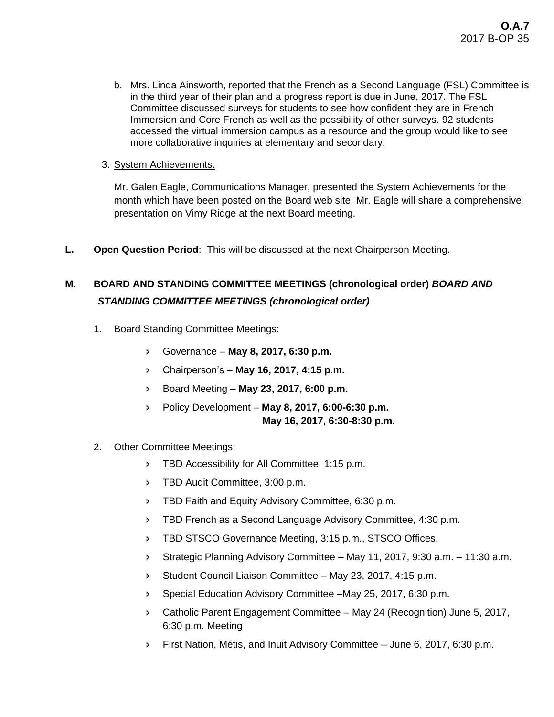- b. Mrs. Linda Ainsworth, reported that the French as a Second Language (FSL) Committee is in the third year of their plan and a progress report is due in June, 2017. The FSL Committee discussed surveys for students to see how confident they are in French Immersion and Core French as well as the possibility of other surveys. 92 students accessed the virtual immersion campus as a resource and the group would like to see more collaborative inquiries at elementary and secondary.
- 3. System Achievements.

Mr. Galen Eagle, Communications Manager, presented the System Achievements for the month which have been posted on the Board web site. Mr. Eagle will share a comprehensive presentation on Vimy Ridge at the next Board meeting.

**L. Open Question Period**: This will be discussed at the next Chairperson Meeting.

# **M. BOARD AND STANDING COMMITTEE MEETINGS (chronological order)** *BOARD AND STANDING COMMITTEE MEETINGS (chronological order)*

- 1. Board Standing Committee Meetings:
	- Governance **May 8, 2017, 6:30 p.m.**
	- Chairperson's **May 16, 2017, 4:15 p.m.**
	- Board Meeting **May 23, 2017, 6:00 p.m.**
	- Policy Development **May 8, 2017, 6:00-6:30 p.m. May 16, 2017, 6:30-8:30 p.m.**
- 2. Other Committee Meetings:
	- **FRD Accessibility for All Committee, 1:15 p.m.**
	- **FRD Audit Committee, 3:00 p.m.**
	- **FRED Faith and Equity Advisory Committee, 6:30 p.m.**
	- **FIBD French as a Second Language Advisory Committee, 4:30 p.m.**
	- **FIBD STSCO Governance Meeting, 3:15 p.m., STSCO Offices.**
	- Strategic Planning Advisory Committee May 11, 2017, 9:30 a.m. 11:30 a.m.
	- Student Council Liaison Committee May 23, 2017, 4:15 p.m.
	- Special Education Advisory Committee –May 25, 2017, 6:30 p.m.
	- Catholic Parent Engagement Committee May 24 (Recognition) June 5, 2017, 6:30 p.m. Meeting
	- First Nation, Métis, and Inuit Advisory Committee June 6, 2017, 6:30 p.m.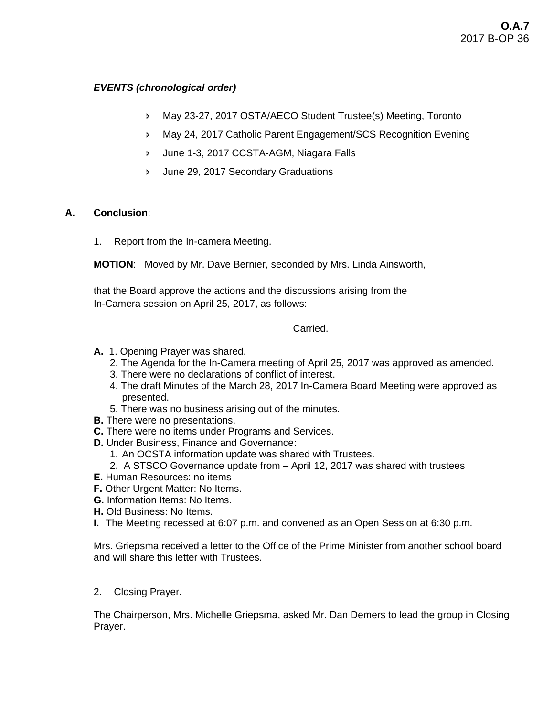# *EVENTS (chronological order)*

- May 23-27, 2017 OSTA/AECO Student Trustee(s) Meeting, Toronto
- May 24, 2017 Catholic Parent Engagement/SCS Recognition Evening
- June 1-3, 2017 CCSTA-AGM, Niagara Falls
- June 29, 2017 Secondary Graduations

# **A. Conclusion**:

1. Report from the In-camera Meeting.

**MOTION**: Moved by Mr. Dave Bernier, seconded by Mrs. Linda Ainsworth,

that the Board approve the actions and the discussions arising from the In-Camera session on April 25, 2017, as follows:

**Carried** 

- **A.** 1. Opening Prayer was shared.
	- 2. The Agenda for the In-Camera meeting of April 25, 2017 was approved as amended.
	- 3. There were no declarations of conflict of interest.
	- 4. The draft Minutes of the March 28, 2017 In-Camera Board Meeting were approved as presented.
	- 5. There was no business arising out of the minutes.
- **B.** There were no presentations.
- **C.** There were no items under Programs and Services.
- **D.** Under Business, Finance and Governance:
	- 1. An OCSTA information update was shared with Trustees.
	- 2. A STSCO Governance update from April 12, 2017 was shared with trustees
- **E.** Human Resources: no items
- **F.** Other Urgent Matter: No Items.
- **G.** Information Items: No Items.
- **H.** Old Business: No Items.
- **I.** The Meeting recessed at 6:07 p.m. and convened as an Open Session at 6:30 p.m.

Mrs. Griepsma received a letter to the Office of the Prime Minister from another school board and will share this letter with Trustees.

2. Closing Prayer.

The Chairperson, Mrs. Michelle Griepsma, asked Mr. Dan Demers to lead the group in Closing Prayer.